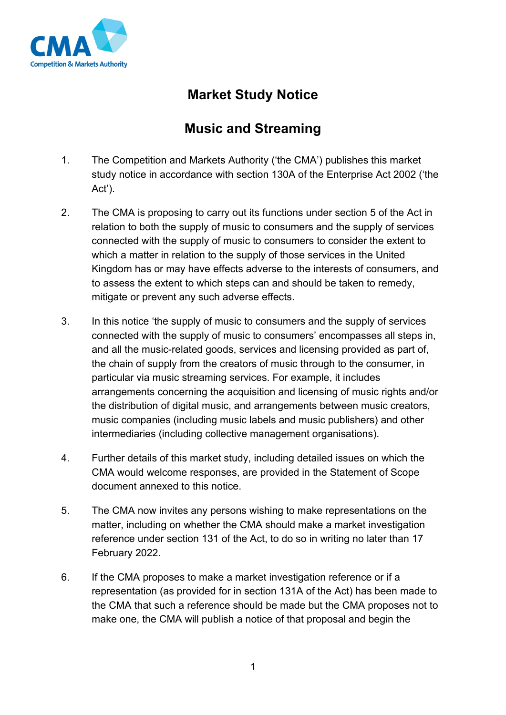

## **Market Study Notice**

## **Music and Streaming**

- 1. The Competition and Markets Authority ('the CMA') publishes this market study notice in accordance with section 130A of the Enterprise Act 2002 ('the Act').
- 2. The CMA is proposing to carry out its functions under section 5 of the Act in relation to both the supply of music to consumers and the supply of services connected with the supply of music to consumers to consider the extent to which a matter in relation to the supply of those services in the United Kingdom has or may have effects adverse to the interests of consumers, and to assess the extent to which steps can and should be taken to remedy, mitigate or prevent any such adverse effects.
- 3. In this notice 'the supply of music to consumers and the supply of services connected with the supply of music to consumers' encompasses all steps in, and all the music-related goods, services and licensing provided as part of, the chain of supply from the creators of music through to the consumer, in particular via music streaming services. For example, it includes arrangements concerning the acquisition and licensing of music rights and/or the distribution of digital music, and arrangements between music creators, music companies (including music labels and music publishers) and other intermediaries (including collective management organisations).
- 4. Further details of this market study, including detailed issues on which the CMA would welcome responses, are provided in the Statement of Scope document annexed to this notice.
- 5. The CMA now invites any persons wishing to make representations on the matter, including on whether the CMA should make a market investigation reference under section 131 of the Act, to do so in writing no later than 17 February 2022.
- 6. If the CMA proposes to make a market investigation reference or if a representation (as provided for in section 131A of the Act) has been made to the CMA that such a reference should be made but the CMA proposes not to make one, the CMA will publish a notice of that proposal and begin the